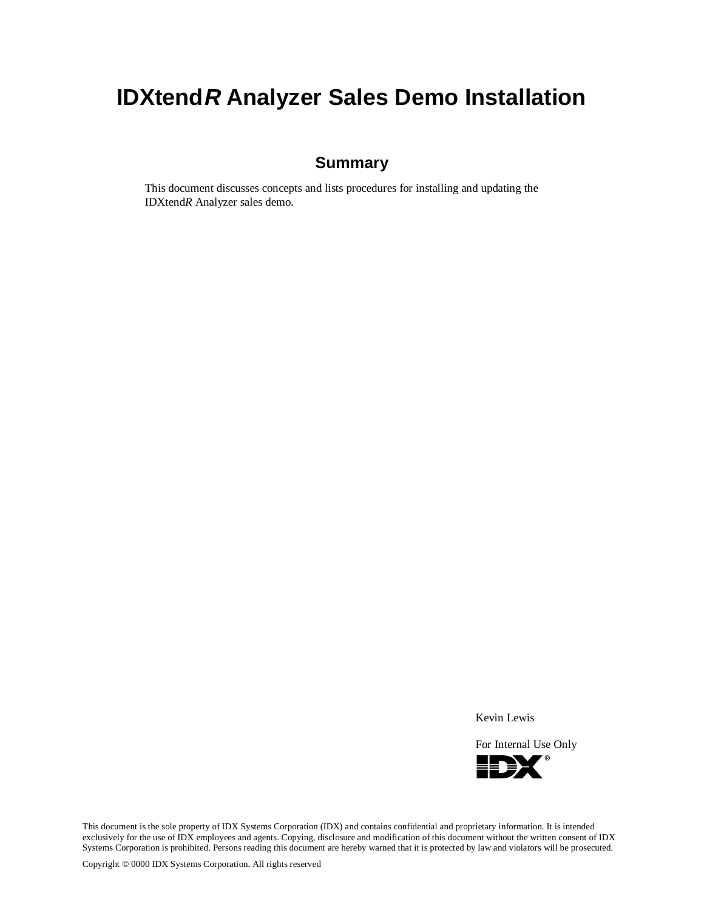# **IDXtendR Analyzer Sales Demo Installation**

## **Summary**

This document discusses concepts and lists procedures for installing and updating the IDXtend*R* Analyzer sales demo.

Kevin Lewis

For Internal Use Only



This document is the sole property of IDX Systems Corporation (IDX) and contains confidential and proprietary information. It is intended exclusively for the use of IDX employees and agents. Copying, disclosure and modification of this document without the written consent of IDX Systems Corporation is prohibited. Persons reading this document are hereby warned that it is protected by law and violators will be prosecuted.

Copyright © 0000 IDX Systems Corporation. All rights reserved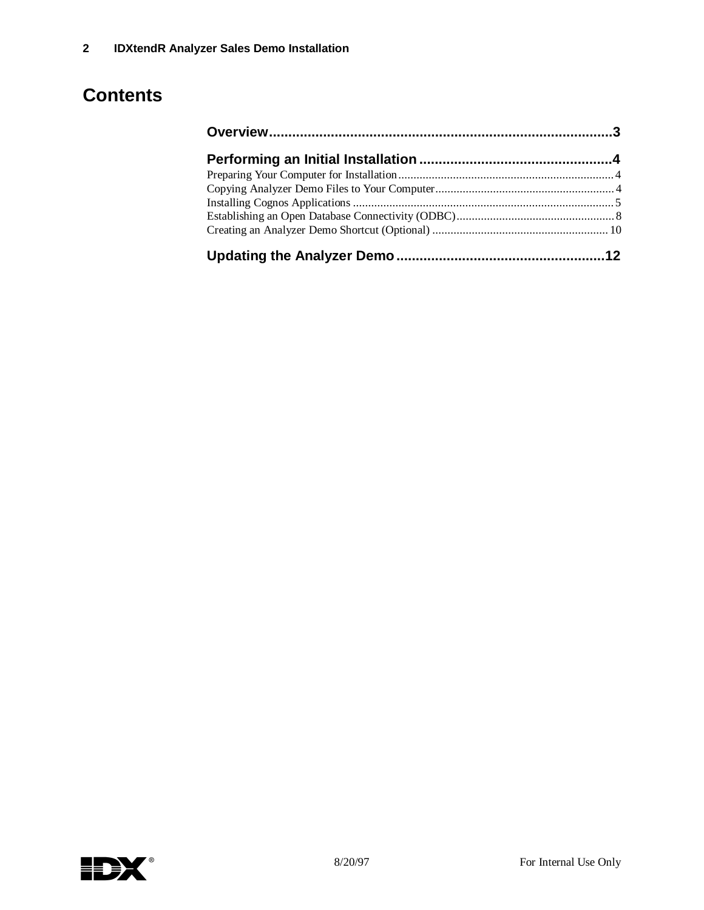# **Contents**

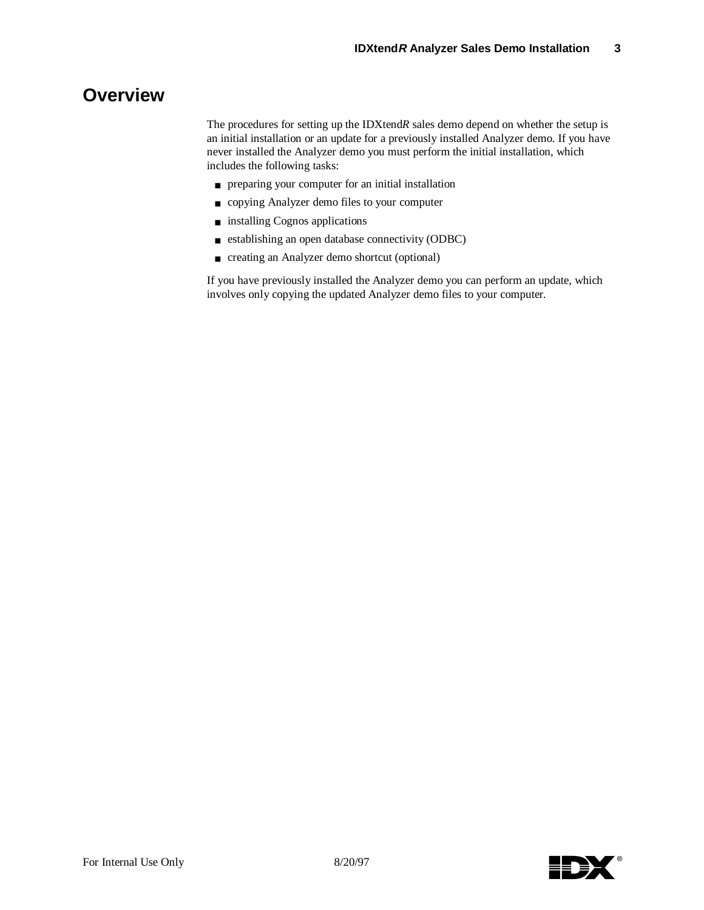## **Overview**

The procedures for setting up the IDXtend*R* sales demo depend on whether the setup is an initial installation or an update for a previously installed Analyzer demo. If you have never installed the Analyzer demo you must perform the initial installation, which includes the following tasks:

- preparing your computer for an initial installation
- copying Analyzer demo files to your computer
- installing Cognos applications
- establishing an open database connectivity (ODBC)
- creating an Analyzer demo shortcut (optional)

If you have previously installed the Analyzer demo you can perform an update, which involves only copying the updated Analyzer demo files to your computer.

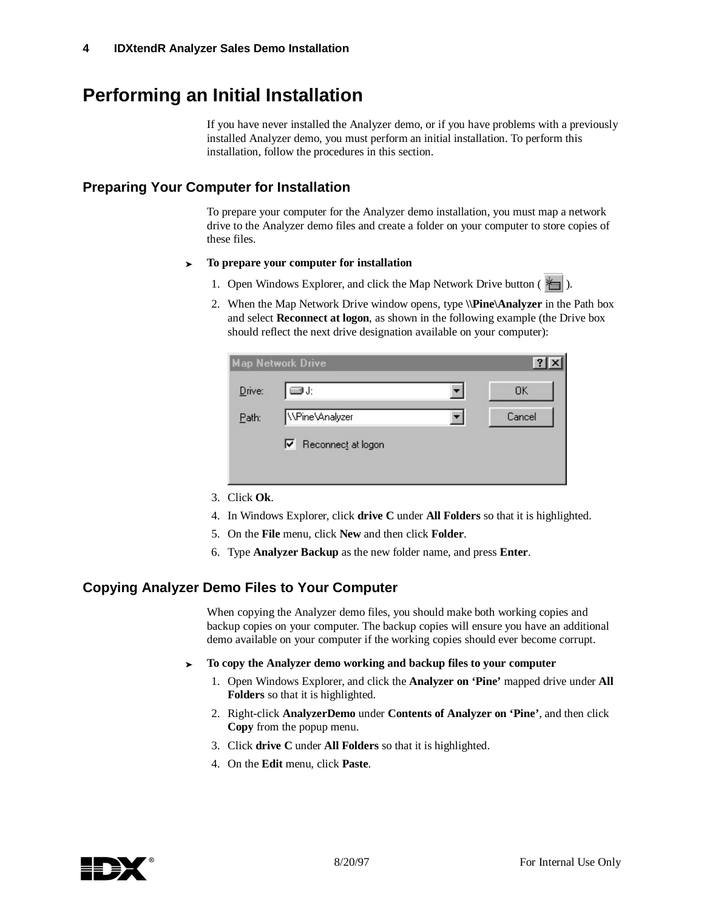## **Performing an Initial Installation**

If you have never installed the Analyzer demo, or if you have problems with a previously installed Analyzer demo, you must perform an initial installation. To perform this installation, follow the procedures in this section.

### **Preparing Your Computer for Installation**

To prepare your computer for the Analyzer demo installation, you must map a network drive to the Analyzer demo files and create a folder on your computer to store copies of these files.

- <sup>³</sup> **To prepare your computer for installation**
	- 1. Open Windows Explorer, and click the Map Network Drive button  $(\star)$ .
	- 2. When the Map Network Drive window opens, type **\\Pine\Analyzer** in the Path box and select **Reconnect at logon**, as shown in the following example (the Drive box should reflect the next drive designation available on your computer):

|        | <b>Map Network Drive</b> | -?     |
|--------|--------------------------|--------|
| Drive: | ⊒J:                      | OΚ     |
| Path:  | WPine\Analyzer           | Cancel |
|        | Reconnect at logon<br>⊽  |        |

- 3. Click **Ok**.
- 4. In Windows Explorer, click **drive C** under **All Folders** so that it is highlighted.
- 5. On the **File** menu, click **New** and then click **Folder**.
- 6. Type **Analyzer Backup** as the new folder name, and press **Enter**.

### **Copying Analyzer Demo Files to Your Computer**

When copying the Analyzer demo files, you should make both working copies and backup copies on your computer. The backup copies will ensure you have an additional demo available on your computer if the working copies should ever become corrupt.

- <sup>³</sup> **To copy the Analyzer demo working and backup files to your computer**
	- 1. Open Windows Explorer, and click the **Analyzer on 'Pine'** mapped drive under **All Folders** so that it is highlighted.
	- 2. Right-click **AnalyzerDemo** under **Contents of Analyzer on 'Pine'**, and then click **Copy** from the popup menu.
	- 3. Click **drive C** under **All Folders** so that it is highlighted.
	- 4. On the **Edit** menu, click **Paste**.

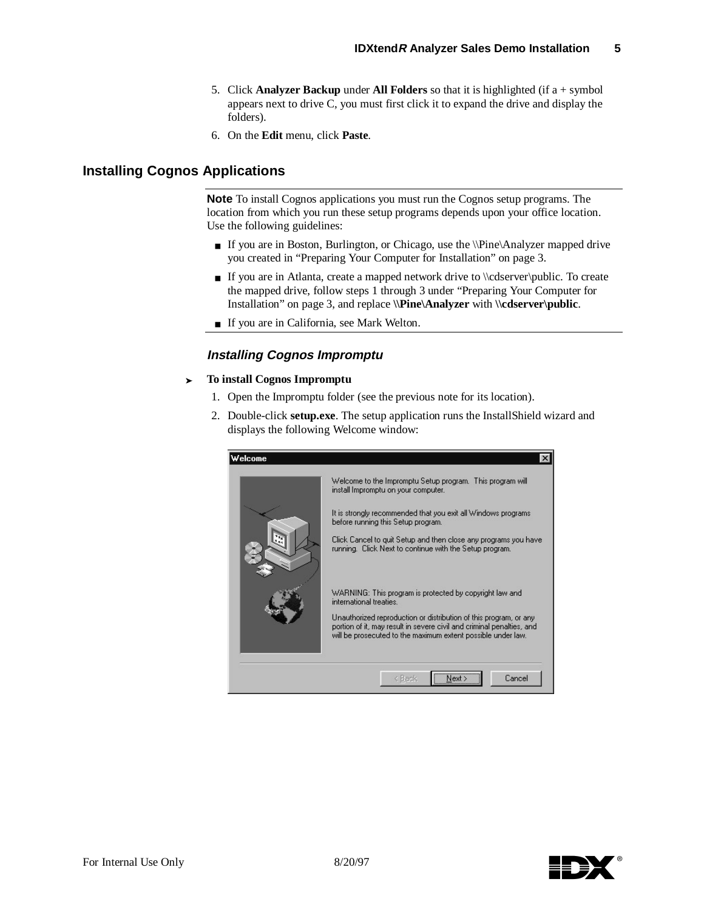- 5. Click **Analyzer Backup** under **All Folders** so that it is highlighted (if a + symbol appears next to drive C, you must first click it to expand the drive and display the folders).
- 6. On the **Edit** menu, click **Paste**.

### **Installing Cognos Applications**

**Note** To install Cognos applications you must run the Cognos setup programs. The location from which you run these setup programs depends upon your office location. Use the following guidelines:

- If you are in Boston, Burlington, or Chicago, use the \\Pine\Analyzer mapped drive you created in "Preparing Your Computer for Installation" on page 3.
- If you are in Atlanta, create a mapped network drive to \\cdserver\public. To create the mapped drive, follow steps 1 through 3 under "Preparing Your Computer for Installation" on page 3, and replace **\\Pine\Analyzer** with **\\cdserver\public**.
- If you are in California, see Mark Welton.

#### **Installing Cognos Impromptu**

#### <sup>³</sup> **To install Cognos Impromptu**

- 1. Open the Impromptu folder (see the previous note for its location).
- 2. Double-click **setup.exe**. The setup application runs the InstallShield wizard and displays the following Welcome window:



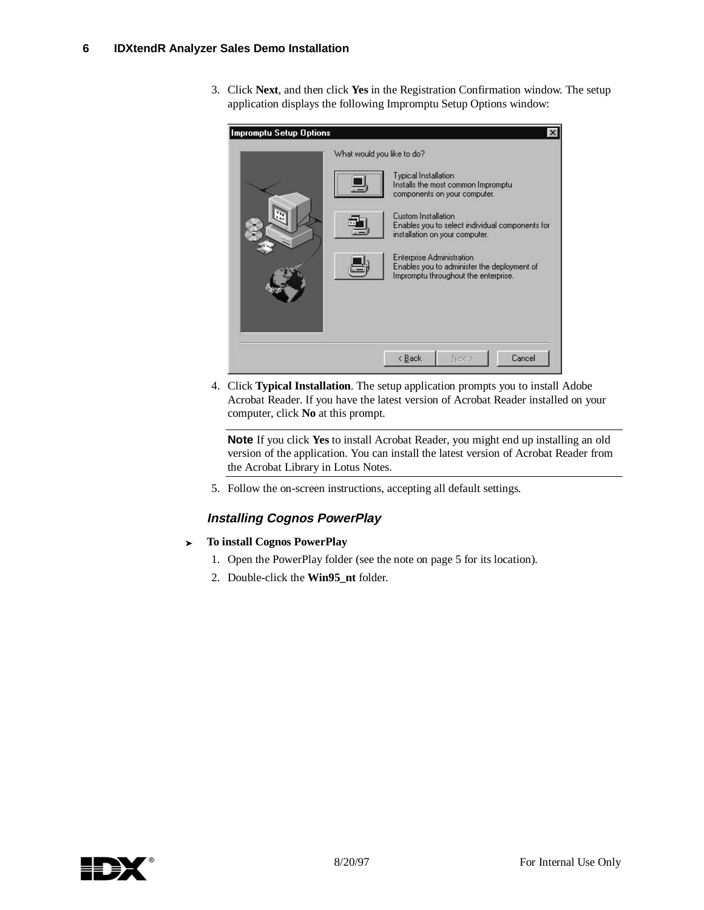3. Click **Next**, and then click **Yes** in the Registration Confirmation window. The setup application displays the following Impromptu Setup Options window:

| Impromptu Setup Options |                            |                                                                                 |                                                                                                                                                                                             | ×                                               |
|-------------------------|----------------------------|---------------------------------------------------------------------------------|---------------------------------------------------------------------------------------------------------------------------------------------------------------------------------------------|-------------------------------------------------|
|                         | What would you like to do? | Typical Installation<br>Custom Installation<br><b>Enterprise Administration</b> | Installs the most common Impromptu<br>components on your computer.<br>installation on your computer.<br>Enables you to administer the deployment of<br>Impromptu throughout the enterprise. | Enables you to select individual components for |
|                         |                            | < Back                                                                          | Next >                                                                                                                                                                                      | Cancel                                          |

4. Click **Typical Installation**. The setup application prompts you to install Adobe Acrobat Reader. If you have the latest version of Acrobat Reader installed on your computer, click **No** at this prompt.

**Note** If you click **Yes** to install Acrobat Reader, you might end up installing an old version of the application. You can install the latest version of Acrobat Reader from the Acrobat Library in Lotus Notes.

5. Follow the on-screen instructions, accepting all default settings.

### **Installing Cognos PowerPlay**

- <sup>³</sup> **To install Cognos PowerPlay**
	- 1. Open the PowerPlay folder (see the note on page 5 for its location).
	- 2. Double-click the **Win95\_nt** folder.

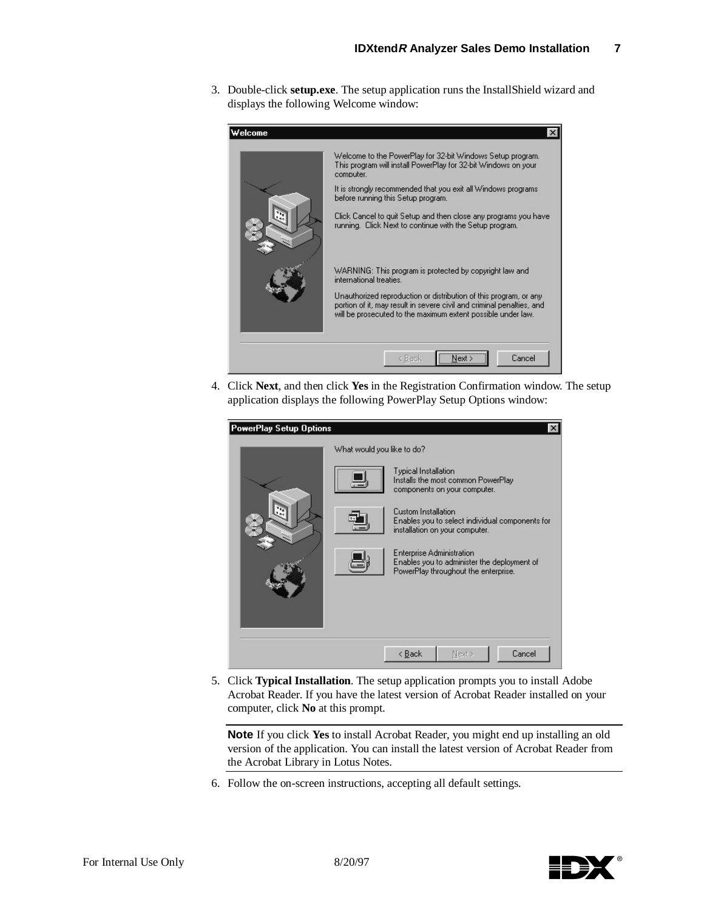3. Double-click **setup.exe**. The setup application runs the InstallShield wizard and displays the following Welcome window:



4. Click **Next**, and then click **Yes** in the Registration Confirmation window. The setup application displays the following PowerPlay Setup Options window:

| <b>PowerPlay Setup Options</b> |                            |                                  |                                                                                     | $\times$                                        |
|--------------------------------|----------------------------|----------------------------------|-------------------------------------------------------------------------------------|-------------------------------------------------|
|                                | What would you like to do? |                                  |                                                                                     |                                                 |
|                                |                            | Typical Installation             | Installs the most common PowerPlay<br>components on your computer.                  |                                                 |
|                                |                            | Custom Installation              | installation on your computer.                                                      | Enables you to select individual components for |
|                                |                            | <b>Enterprise Administration</b> | Enables you to administer the deployment of<br>PowerPlay throughout the enterprise. |                                                 |
|                                |                            |                                  |                                                                                     |                                                 |
|                                |                            |                                  |                                                                                     |                                                 |
|                                |                            | < Back                           | Next >                                                                              | Cancel                                          |

5. Click **Typical Installation**. The setup application prompts you to install Adobe Acrobat Reader. If you have the latest version of Acrobat Reader installed on your computer, click **No** at this prompt.

**Note** If you click **Yes** to install Acrobat Reader, you might end up installing an old version of the application. You can install the latest version of Acrobat Reader from the Acrobat Library in Lotus Notes.

6. Follow the on-screen instructions, accepting all default settings.

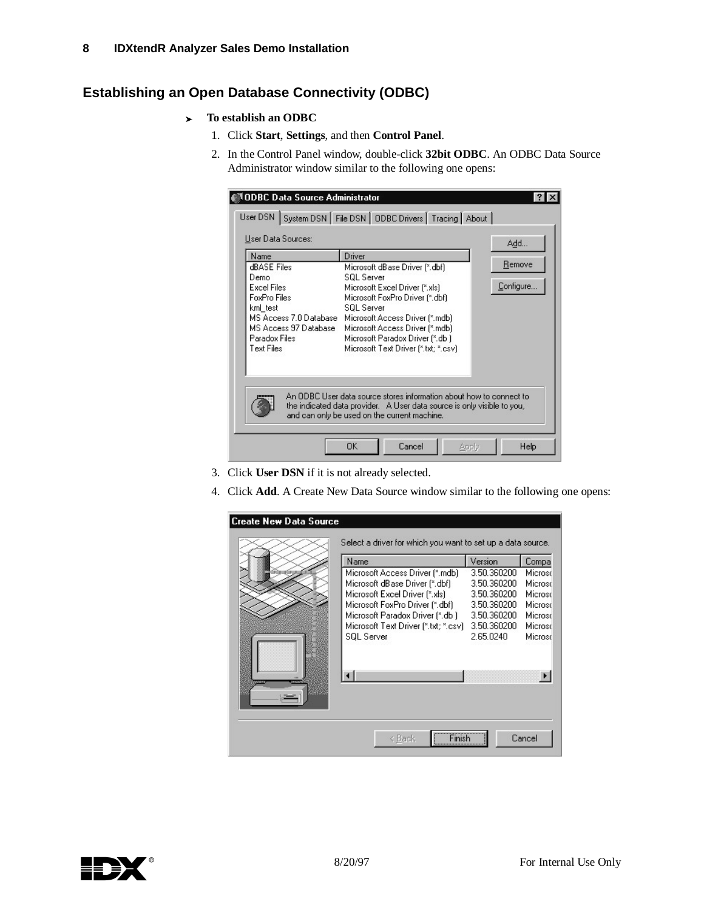## **Establishing an Open Database Connectivity (ODBC)**

- <sup>³</sup> **To establish an ODBC**
	- 1. Click **Start**, **Settings**, and then **Control Panel**.
	- 2. In the Control Panel window, double-click **32bit ODBC**. An ODBC Data Source Administrator window similar to the following one opens:

| Name                                            | Driver                                                              | Add       |
|-------------------------------------------------|---------------------------------------------------------------------|-----------|
| dBASE Files<br>Demo                             | Microsoft dBase Driver [*.dbf]<br><b>SQL Server</b>                 | Remove    |
| <b>Fxcel Files</b>                              | Microsoft Excel Driver [*.xls]                                      | Configure |
| <b>FoxPro Files</b>                             | Microsoft FoxPro Driver (*.dbf)                                     |           |
| kml test                                        | <b>SQL Server</b>                                                   |           |
| MS Access 7.0 Database<br>MS Access 97 Database | Microsoft Access Driver [*.mdb]<br>Microsoft Access Driver [*.mdb]  |           |
| Paradox Files                                   | Microsoft Paradox Driver [*.db ]                                    |           |
| <b>Text Files</b>                               | Microsoft Text Driver [*.txt; *.csv]                                |           |
|                                                 |                                                                     |           |
|                                                 |                                                                     |           |
|                                                 | An ODBC User data source stores information about how to connect to |           |

- 3. Click **User DSN** if it is not already selected.
- 4. Click **Add**. A Create New Data Source window similar to the following one opens:

| Name                                 | Version     | Compa                 |
|--------------------------------------|-------------|-----------------------|
| Microsoft Access Driver [*.mdb]      | 3.50.360200 | Microso               |
| Microsoft dBase Driver [".dbf]       | 3.50.360200 | Microsc               |
| Microsoft Excel Driver [*.xls]       | 3.50.360200 | Microso               |
| Microsoft FoxPro Driver [*.dbf]      | 3.50.360200 | Microsc               |
| Microsoft Paradox Driver (*.db )     | 3.50.360200 | Microsc               |
| Microsoft Text Driver [".txt; ".csv] | 3.50.360200 | Microsc               |
| <b>SQL Server</b>                    | 2.65.0240   | Microso               |
|                                      |             | $\blacktriangleright$ |
|                                      |             |                       |

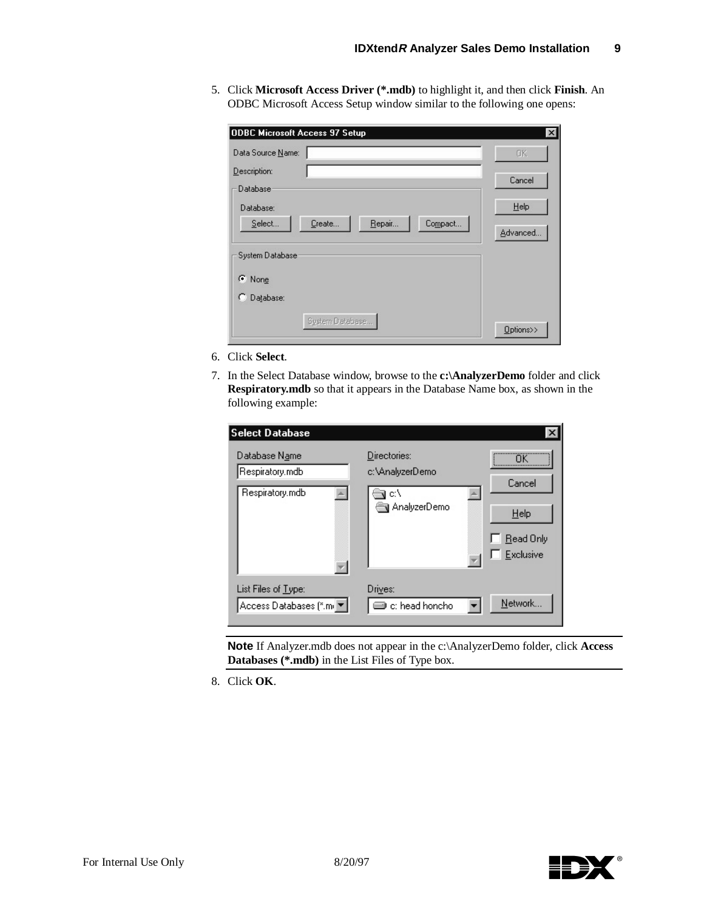5. Click **Microsoft Access Driver (\*.mdb)** to highlight it, and then click **Finish**. An ODBC Microsoft Access Setup window similar to the following one opens:

| Data Source Name:                     | OK.       |
|---------------------------------------|-----------|
| Description:<br>Database              | Cancel    |
| Database:                             | Help      |
| Repair<br>Select<br>Create<br>Compact | Advanced  |
| System Database                       |           |
| C None                                |           |
| Database:<br>C.                       |           |
| System Database                       | Options>> |

- 6. Click **Select**.
- 7. In the Select Database window, browse to the **c:\AnalyzerDemo** folder and click **Respiratory.mdb** so that it appears in the Database Name box, as shown in the following example:

| Select Database                                     |                                                       |                                                                                 |
|-----------------------------------------------------|-------------------------------------------------------|---------------------------------------------------------------------------------|
| Database Name<br>Respiratory.mdb<br>Respiratory.mdb | Directories:<br>c:\AnalyzerDemo<br>c۸<br>AnalyzerDemo | <br>,,,,,,,,,,,,,,,,,,,,,,,,,,,,,,,<br>Cancel<br>Help<br>Read Only<br>Exclusive |
| List Files of Type:<br>Access Databases [*.mi ▼     | Drives:<br>c: head honcho                             | Network                                                                         |

**Note** If Analyzer.mdb does not appear in the c:\AnalyzerDemo folder, click **Access Databases (\*.mdb)** in the List Files of Type box.

8. Click **OK**.

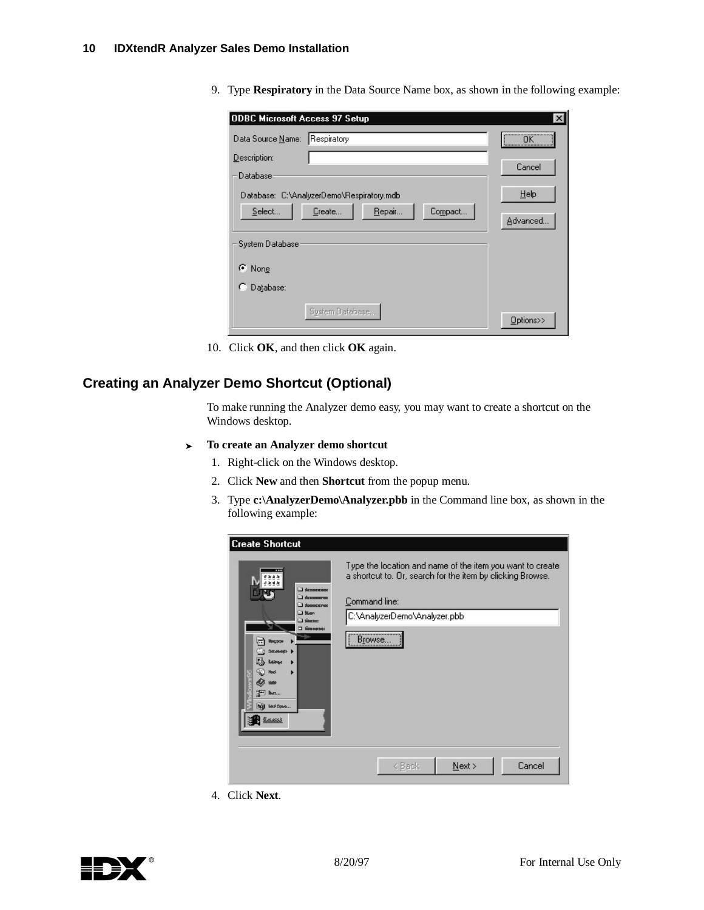9. Type **Respiratory** in the Data Source Name box, as shown in the following example:

| <b>ODBC Microsoft Access 97 Setup</b>     |                   | $\times$                     |
|-------------------------------------------|-------------------|------------------------------|
| Respiratory<br>Data Source Name:          |                   | $\overline{\mathsf{OK}}$<br> |
| Description:                              |                   |                              |
| Database <sup>®</sup>                     |                   | Cancel                       |
| Database: C:\AnalyzerDemo\Respiratory.mdb |                   | $He$ lp                      |
| Select<br>Create                          | Compact<br>Repair | Advanced                     |
| System Database                           |                   |                              |
| ⊙ None                                    |                   |                              |
| Database:<br>Ю                            |                   |                              |
| System Database                           |                   | Options>>                    |

10. Click **OK**, and then click **OK** again.

## **Creating an Analyzer Demo Shortcut (Optional)**

To make running the Analyzer demo easy, you may want to create a shortcut on the Windows desktop.

- <sup>³</sup> **To create an Analyzer demo shortcut**
	- 1. Right-click on the Windows desktop.
	- 2. Click **New** and then **Shortcut** from the popup menu.
	- 3. Type **c:\AnalyzerDemo\Analyzer.pbb** in the Command line box, as shown in the following example:

| <b>Create Shortcut</b>                                                                                                                                                                                                                                    |                                                                                                                                                                                         |
|-----------------------------------------------------------------------------------------------------------------------------------------------------------------------------------------------------------------------------------------------------------|-----------------------------------------------------------------------------------------------------------------------------------------------------------------------------------------|
| 计加固地<br><b>BECOME SHOW</b><br><b>El destinational</b><br><b>B</b> Account system<br><b>Di Mary</b><br>CI sloctoc:<br>D MANUSCONS I<br><b>Nocrato</b><br>horuseus sol<br>dànau<br>ыd<br>æп<br><b>But:</b><br><b>Gas Space</b><br><b>NU</b><br><b>Hamma</b> | Type the location and name of the item you want to create<br>a shortcut to. Or, search for the item by clicking Browse.<br>Command line:<br>C:\AnalyzerDemo\Analyzer.pbb<br><br>Browse. |
|                                                                                                                                                                                                                                                           | Cancel<br>$N$ ext ><br>< Back                                                                                                                                                           |

4. Click **Next**.

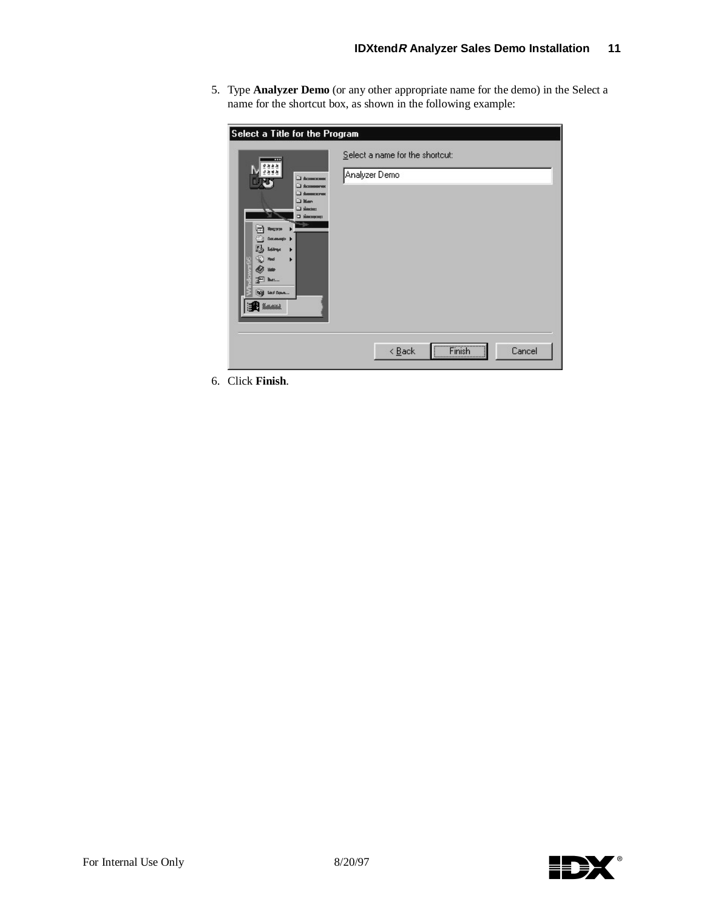5. Type **Analyzer Demo** (or any other appropriate name for the demo) in the Select a name for the shortcut box, as shown in the following example:

| Select a Title for the Program<br>ш<br>日本商店<br>9.84.8<br>В Асхоммоном<br>Accompany of<br><b>B</b> Account stress<br>Li Man                                                                        | Select a name for the shortcut:<br>Analyzer Demo |
|---------------------------------------------------------------------------------------------------------------------------------------------------------------------------------------------------|--------------------------------------------------|
| Subscript L<br>□ имогранить □<br>win .<br><b><i><u>Nouvro</u></i></b><br>т<br>$\ddot{\phantom{1}}$<br>choronous<br><b>Boldwar</b><br>Ned<br><b>E</b> M.<br><b>Will best Down</b><br><b>R</b> Lame |                                                  |
|                                                                                                                                                                                                   | Finish<br>$\leq$ $\underline{B}$ ack<br>Cancel   |

6. Click **Finish**.